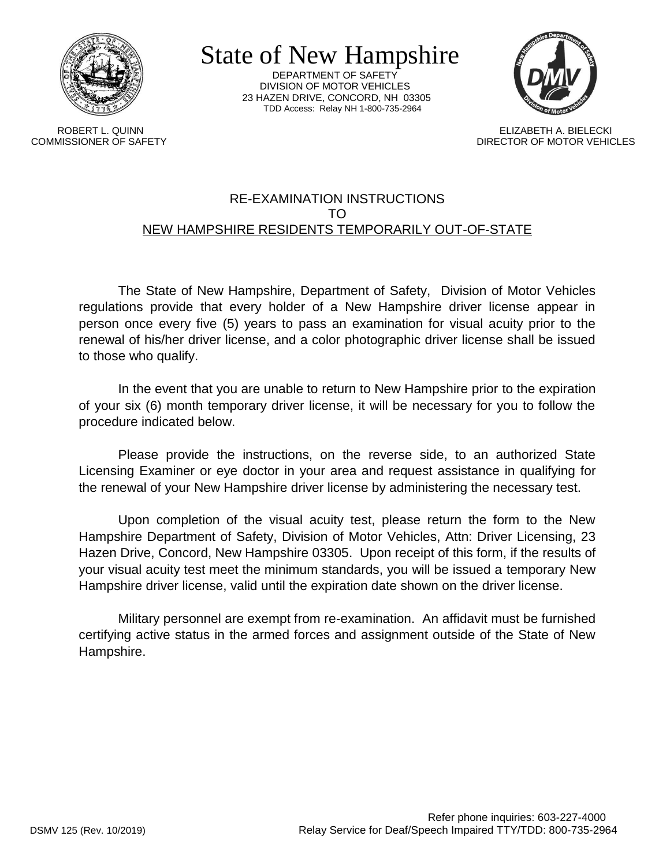

State of New Hampshire

DEPARTMENT OF SAFETY DIVISION OF MOTOR VEHICLES 23 HAZEN DRIVE, CONCORD, NH 03305 TDD Access: Relay NH 1-800-735-2964



 ROBERT L. QUINN ELIZABETH A. BIELECKI COMMISSIONER OF SAFETY DIRECTOR OF MOTOR VEHICLES

## RE-EXAMINATION INSTRUCTIONS TO NEW HAMPSHIRE RESIDENTS TEMPORARILY OUT-OF-STATE

The State of New Hampshire, Department of Safety, Division of Motor Vehicles regulations provide that every holder of a New Hampshire driver license appear in person once every five (5) years to pass an examination for visual acuity prior to the renewal of his/her driver license, and a color photographic driver license shall be issued to those who qualify.

In the event that you are unable to return to New Hampshire prior to the expiration of your six (6) month temporary driver license, it will be necessary for you to follow the procedure indicated below.

Please provide the instructions, on the reverse side, to an authorized State Licensing Examiner or eye doctor in your area and request assistance in qualifying for the renewal of your New Hampshire driver license by administering the necessary test.

Upon completion of the visual acuity test, please return the form to the New Hampshire Department of Safety, Division of Motor Vehicles, Attn: Driver Licensing, 23 Hazen Drive, Concord, New Hampshire 03305. Upon receipt of this form, if the results of your visual acuity test meet the minimum standards, you will be issued a temporary New Hampshire driver license, valid until the expiration date shown on the driver license.

Military personnel are exempt from re-examination. An affidavit must be furnished certifying active status in the armed forces and assignment outside of the State of New Hampshire.